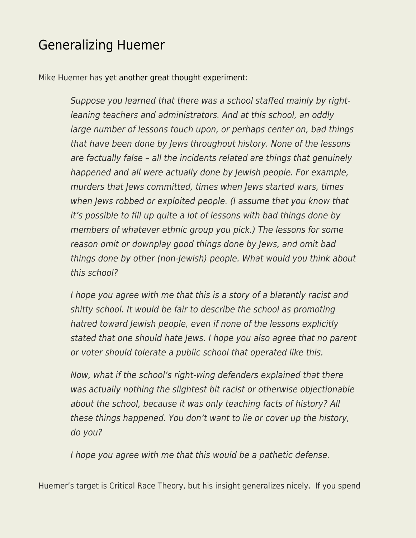## [Generalizing Huemer](https://everything-voluntary.com/generalizing-huemer)

Mike Huemer has [yet another great thought experiment](https://fakenous.net/?p=2739):

Suppose you learned that there was a school staffed mainly by rightleaning teachers and administrators. And at this school, an oddly large number of lessons touch upon, or perhaps center on, bad things that have been done by Jews throughout history. None of the lessons are factually false – all the incidents related are things that genuinely happened and all were actually done by Jewish people. For example, murders that Jews committed, times when Jews started wars, times when Jews robbed or exploited people. (I assume that you know that it's possible to fill up quite a lot of lessons with bad things done by members of whatever ethnic group you pick.) The lessons for some reason omit or downplay good things done by Jews, and omit bad things done by other (non-Jewish) people. What would you think about this school?

I hope you agree with me that this is a story of a blatantly racist and shitty school. It would be fair to describe the school as promoting hatred toward Jewish people, even if none of the lessons explicitly stated that one should hate Jews. I hope you also agree that no parent or voter should tolerate a public school that operated like this.

Now, what if the school's right-wing defenders explained that there was actually nothing the slightest bit racist or otherwise objectionable about the school, because it was only teaching facts of history? All these things happened. You don't want to lie or cover up the history, do you?

I hope you agree with me that this would be a pathetic defense.

Huemer's target is Critical Race Theory, but his insight generalizes nicely. If you spend